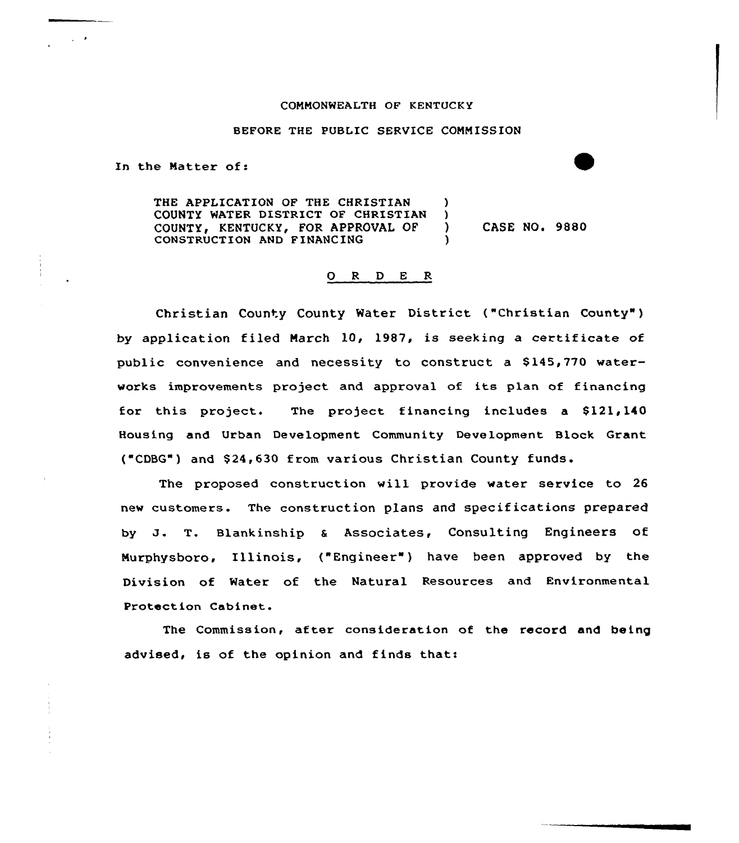## COMMONWEALTH OF KENTUCK Y

## BEFORE THE PUBLIC SERVICE COMMISSION

In the Matter of:

THE APPLICATION OF THE CHRISTIAN )<br>COUNTY WATER DISTRICT OF CHRISTIAN ) COUNTY WATER DISTRICT OF CHRISTIAN )<br>COUNTY, KENTUCKY, FOR APPROVAL OF ) COUNTY, KENTUCKY, FOR APPROVAL OF ) CASE NO. 9880 CONSTRUCTION AND FINANCING

## O R D E R

Christian County County Water District ("Christian County" ) by application filed March 10, 1987, is seeking a certificate of public convenience and necessity to construct a \$ 145,770 waterworks improvements project and approval of its plan of financing for this project. The project financing includes a \$121,140 Housing and Urban Development Community Development Block Grant { CDBG") and \$ 24,630 from various Christian County funds.

The proposed construction will provide water service to 26 new customers. The construction plans and specifications prepared by J. T. Blankinship <sup>a</sup> Associates, Consulting Engineers of Murphysboro, Illinois, ("Engineer" ) have been approved by the Division of Water of the Natural Resources and Environmental Protect ion Cabinet.

The Commission, after consideration of the record and being advised, is of the opinion and finds that: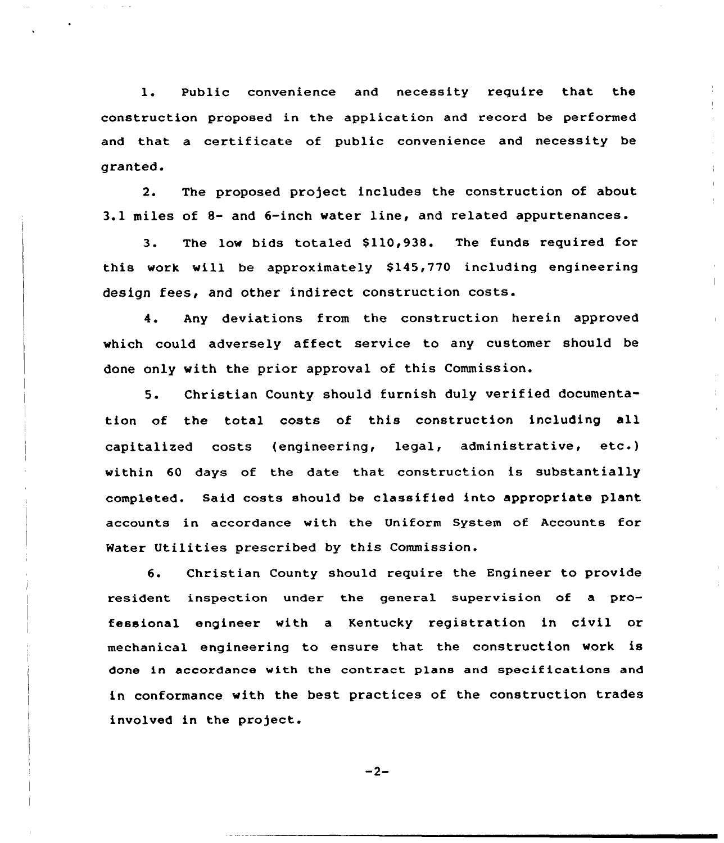1. Public convenience and necessity require that the construction proposed in the application and record be performed and that a certificate of public convenience and necessity be granted.

2. The proposed project includes the construction of about 3.1 miles of 8- and 6-inch water line, and related appurtenances.

3. The low bids totaled \$110,938. The funds required for this work will be approximately \$145,770 including engineering design fees, and other indirect construction costs.

4. Any deviations from the construction herein approved which could adversely affect service to any customer should be done only with the prior approval of this Commission.

5. Christian County should furnish duly verified documentation of the total costs of this construction including all capitalized costs (engineering, legal, administrative, etc.) within 60 days of the date that construction is substantially completed. Said costs should be classified into appropriate plant accounts in accordance with the Uniform System of Accounts for Mater Utilities prescribed by this Commission.

6. Christian County should require the Engineer to provide resident inspection under the general supervision of a professional engineer with <sup>a</sup> Kentucky registration in civil or mechanical engineering to ensure that the construction work is done in accordance with the contract plans and specifications and in conformance with the best practices of the construction trades involved in the project..

 $-2-$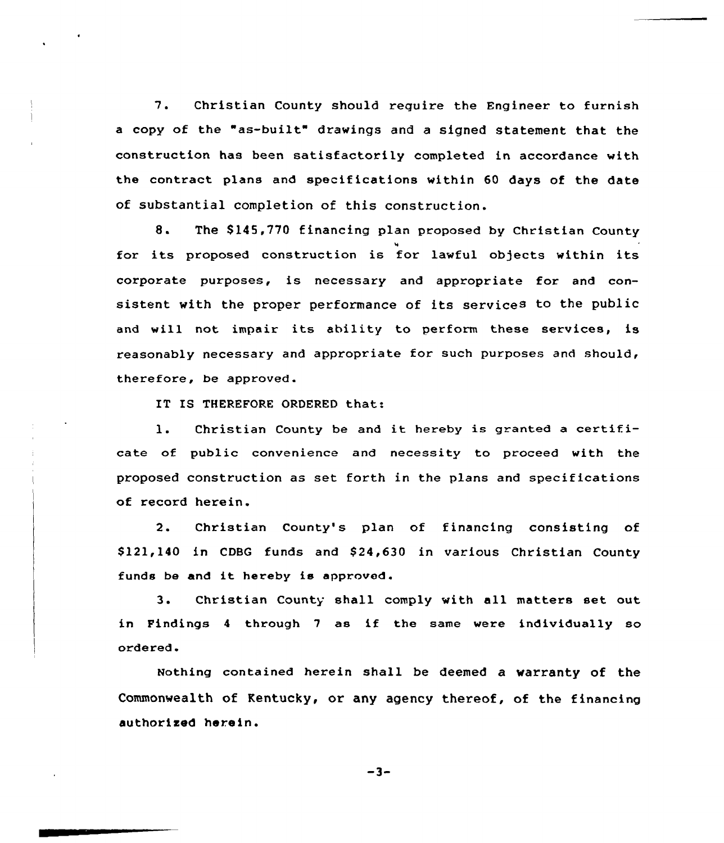7. Christian County should require the Engineer to furnish a copy of the "as-built" drawings and a signed statement that the construction has been satisfactorily completed in accordance with the contract plans and specifications within 60 days of the date of substantial completion of this construction.

8. The \$145,770 financing plan proposed by Christian County for its proposed construction is for lawful objects within its corporate purposes, is necessary and appropriate for and consistent with the proper performance of its services to the public and will not impair its ability to perform these services, is reasonably necessary and appropriate for such purposes and should, therefore, be approved.

IT IS THEREFORE ORDERED that:

1. Christian County be and it hereby is granted <sup>a</sup> certificate of public convenience and necessity to proceed with the proposed construction as set forth in the plans and specifications of record herein.

2. Christian County's plan of financing consisting of \$ 121,140 in CDBG funds and \$ 24,630 in various Christian County funds be and it hereby is approved.

3. Christian County shall comply with all matters set out in Findings <sup>4</sup> through <sup>7</sup> as if the same were individually so ordered.

Nothing contained herein shall be deemed a warranty of the Commonwealth of Kentucky, or any agency thereof, of the financing authorised herein.

 $-3-$